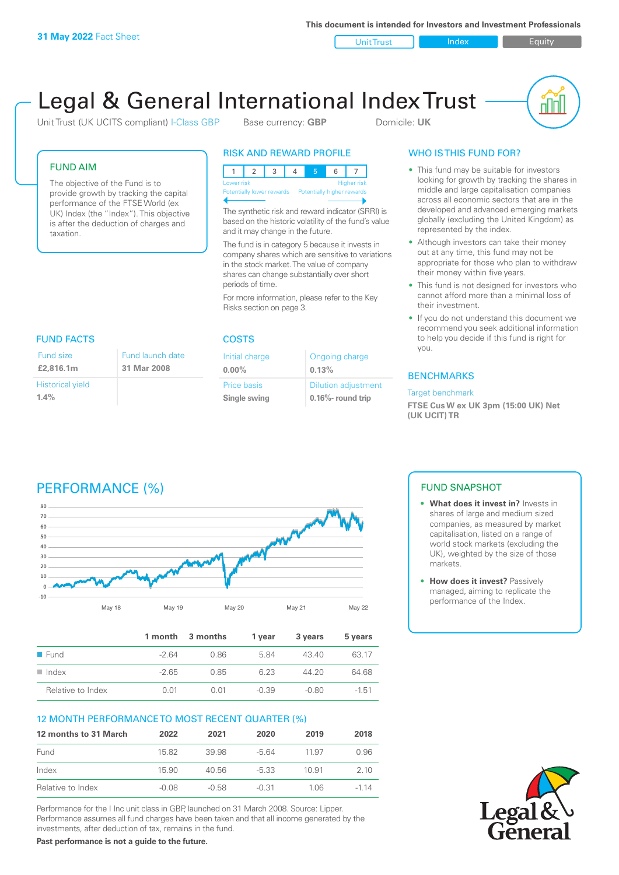**This document is intended for Investors and Investment Professionals**

Unit Trust Index I Equity

# Legal & General International Index Trust

Unit Trust (UK UCITS compliant) I-Class GBP Base currency: **GBP** Domicile: UK



#### FUND AIM

The objective of the Fund is to provide growth by tracking the capital performance of the FTSE World (ex UK) Index (the "Index"). This objective is after the deduction of charges and taxation.

#### RISK AND REWARD PROFILE

| Lower risk                |  |  |                            |  | <b>Higher risk</b> |
|---------------------------|--|--|----------------------------|--|--------------------|
| Potentially lower rewards |  |  | Potentially higher rewards |  |                    |
|                           |  |  |                            |  |                    |

The synthetic risk and reward indicator (SRRI) is based on the historic volatility of the fund's value and it may change in the future.

The fund is in category 5 because it invests in company shares which are sensitive to variations in the stock market. The value of company shares can change substantially over short periods of time.

For more information, please refer to the Key Risks section on page 3.

| FUND FACTS              |                  |  |
|-------------------------|------------------|--|
| <b>Fund size</b>        | Fund launch date |  |
| £2,816.1m               | 31 Mar 2008      |  |
| <b>Historical yield</b> |                  |  |
| 1.4%                    |                  |  |

#### COSTS

| Initial charge | Ongoing charge             |
|----------------|----------------------------|
| $0.00\%$       | 0.13%                      |
| Price basis    | <b>Dilution adjustment</b> |
| Single swing   | $0.16\%$ - round trip      |

### WHO IS THIS FUND FOR?

- This fund may be suitable for investors looking for growth by tracking the shares in middle and large capitalisation companies across all economic sectors that are in the developed and advanced emerging markets globally (excluding the United Kingdom) as represented by the index.
- Although investors can take their money out at any time, this fund may not be appropriate for those who plan to withdraw their money within five years.
- This fund is not designed for investors who cannot afford more than a minimal loss of their investment.
- If you do not understand this document we recommend you seek additional information to help you decide if this fund is right for you.

#### **BENCHMARKS**

#### Target benchmark

**FTSE Cus W ex UK 3pm (15:00 UK) Net (UK UCIT) TR**

# PERFORMANCE (%)



|                     |        | 1 month 3 months | 1 year  | 3 years | 5 years |
|---------------------|--------|------------------|---------|---------|---------|
| $\blacksquare$ Fund | $-264$ | 0.86             | 584     | 43.40   | 63.17   |
| Index<br>. .        | $-265$ | O 85             | 6.23    | 44.20   | 64.68   |
| Relative to Index   | O 01   | O 01             | $-0.39$ | $-0.80$ | $-1.51$ |

#### 12 MONTH PERFORMANCE TO MOST RECENT QUARTER (%)

| 12 months to 31 March | 2022  | 2021  | 2020    | 2019  | 2018   |
|-----------------------|-------|-------|---------|-------|--------|
| Fund                  | 15.82 | 39.98 | $-564$  | 11.97 | 0.96   |
| Index                 | 15.90 | 40.56 | -5.33   | 10.91 | 2 10   |
| Relative to Index     | -0.08 | -0.58 | $-0.31$ | 1 06. | $-114$ |

Performance for the I Inc unit class in GBP, launched on 31 March 2008. Source: Lipper. Performance assumes all fund charges have been taken and that all income generated by the investments, after deduction of tax, remains in the fund.

**Past performance is not a guide to the future.**

#### FUND SNAPSHOT

- **• What does it invest in?** Invests in shares of large and medium sized companies, as measured by market capitalisation, listed on a range of world stock markets (excluding the UK), weighted by the size of those markets.
- **• How does it invest?** Passively managed, aiming to replicate the performance of the Index.

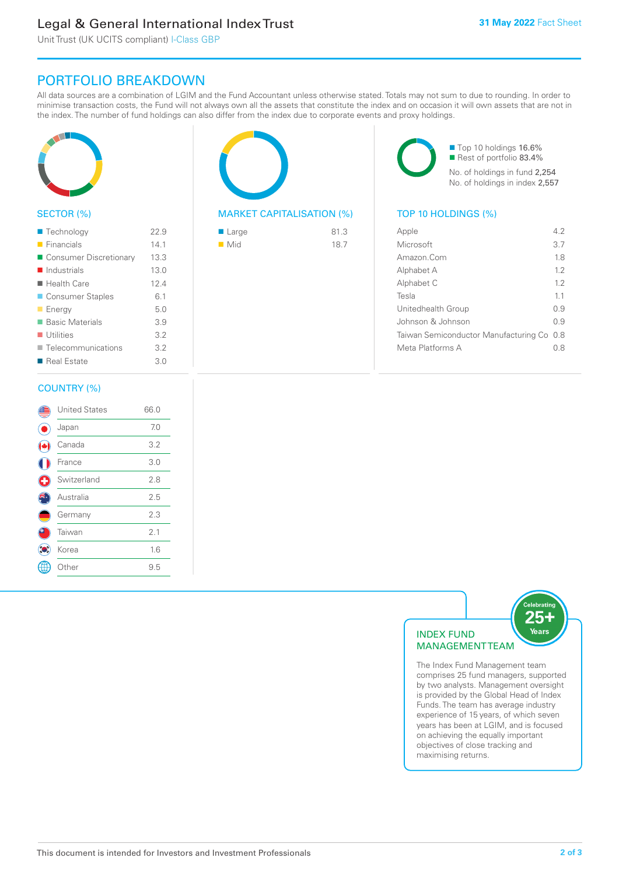# Legal & General International Index Trust

Unit Trust (UK UCITS compliant) I-Class GBP

# PORTFOLIO BREAKDOWN

All data sources are a combination of LGIM and the Fund Accountant unless otherwise stated. Totals may not sum to due to rounding. In order to minimise transaction costs, the Fund will not always own all the assets that constitute the index and on occasion it will own assets that are not in the index. The number of fund holdings can also differ from the index due to corporate events and proxy holdings.



#### SECTOR (%)

| ■ Technology               | 22.9 |
|----------------------------|------|
| $\blacksquare$ Financials  | 14.1 |
| ■ Consumer Discretionary   | 13.3 |
| $\blacksquare$ Industrials | 13.0 |
| ■ Health Care              | 12.4 |
| ■ Consumer Staples         | 6.1  |
| <b>Energy</b>              | 5.0  |
| <b>Basic Materials</b>     | 3.9  |
| $\blacksquare$ Utilities   | 3.2  |
| ■ Telecommunications       | 3.2  |
| ■ Real Estate              | 3.0  |
|                            |      |

#### COUNTRY (%)

|   | <b>United States</b> | 66.0 |  |
|---|----------------------|------|--|
|   | Japan                | 7.0  |  |
|   | Canada               | 3.2  |  |
|   | France               | 3.0  |  |
| C | Switzerland          | 2.8  |  |
|   | Australia            | 2.5  |  |
|   | Germany              | 2.3  |  |
|   | Taiwan               | 2.1  |  |
|   | Korea                | 1.6  |  |
|   | Other                | 9.5  |  |
|   |                      |      |  |



#### MARKET CAPITALISATION (%) TOP 10 HOLDINGS (%)

| $\blacksquare$ Large | 81.3 |
|----------------------|------|
| $\blacksquare$ Mid   | 18.7 |

■ Top 10 holdings 16.6% Rest of portfolio 83.4% No. of holdings in fund 2,254 No. of holdings in index 2,557

| Apple                                     | 42    |
|-------------------------------------------|-------|
| Microsoft                                 | 3.7   |
| Amazon.Com                                | 1.8   |
| Alphabet A                                | 12    |
| Alphabet C                                | 12    |
| Tesla                                     | 11    |
| Unitedhealth Group                        | O 9   |
| Johnson & Johnson                         | O 9   |
| Taiwan Semiconductor Manufacturing Co 0.8 |       |
| Meta Platforms A                          | ( ) X |
|                                           |       |



The Index Fund Management team comprises 25 fund managers, supported by two analysts. Management oversight is provided by the Global Head of Index Funds. The team has average industry experience of 15 years, of which seven years has been at LGIM, and is focused on achieving the equally important objectives of close tracking and maximising returns.